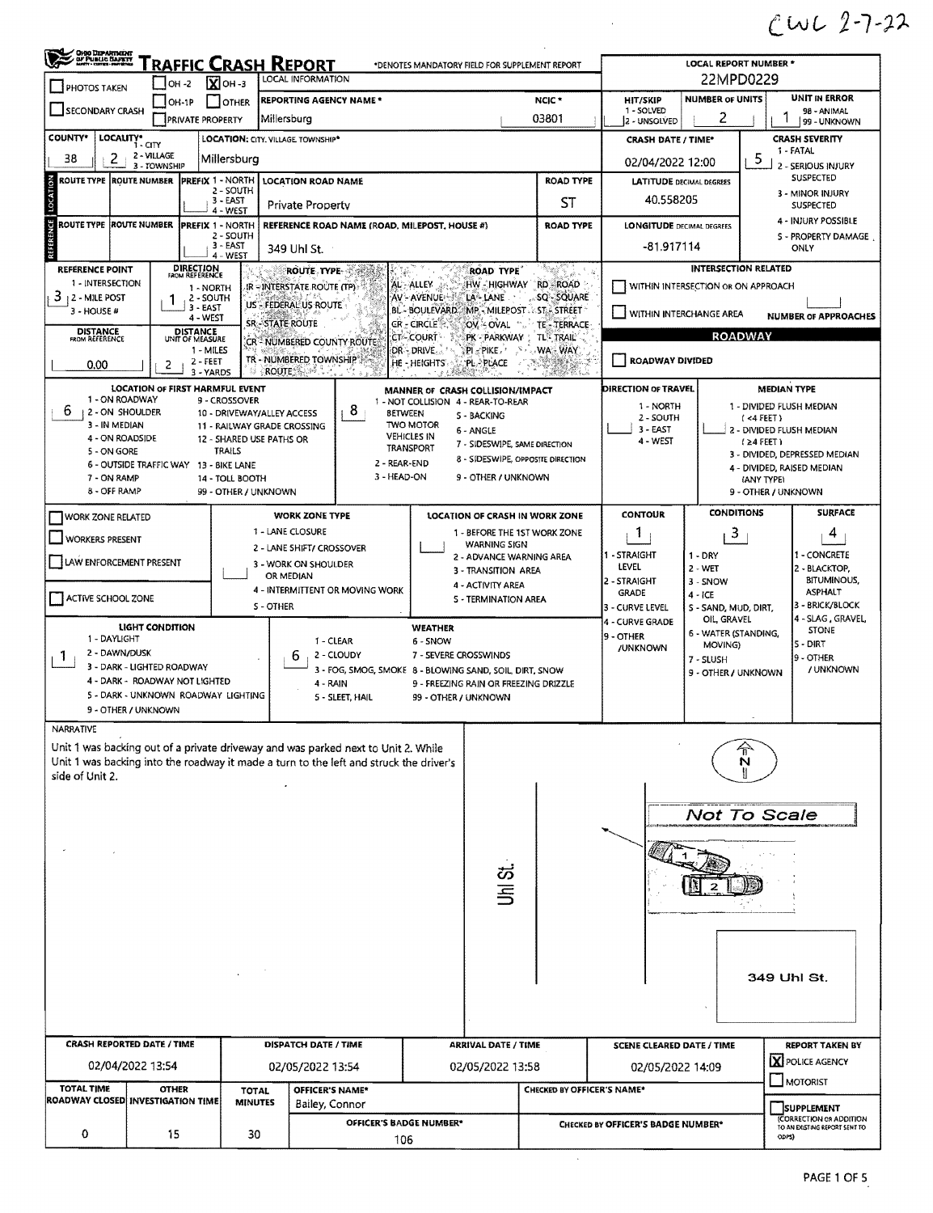## $C122 - 22$

 $\sim 10^{11}$ 

| <b>OHOO DEPARTMENT</b><br>OF PUBLIC SAFETY<br>Traffic Crash Report<br>*DENOTES MANDATORY FIELD FOR SUPPLEMENT REPORT<br>LOCAL INFORMATION<br>$\overline{\mathbf{X}}$ OH -3<br>$\bigcup$ OH -2<br><b>PHOTOS TAKEN</b> |                                        |                                      |                                           |                                                                       |                                    |                                                                      |                                              | <b>LOCAL REPORT NUMBER *</b><br>22MPD0229 |                                   |                                         |                                                                        |  |  |
|----------------------------------------------------------------------------------------------------------------------------------------------------------------------------------------------------------------------|----------------------------------------|--------------------------------------|-------------------------------------------|-----------------------------------------------------------------------|------------------------------------|----------------------------------------------------------------------|----------------------------------------------|-------------------------------------------|-----------------------------------|-----------------------------------------|------------------------------------------------------------------------|--|--|
|                                                                                                                                                                                                                      | $ OH-1P $                              | $\lceil \cdot \rceil$ other          | <b>REPORTING AGENCY NAME *</b>            |                                                                       |                                    |                                                                      | NCIC <sup>+</sup>                            | <b>HIT/SKIP</b>                           | <b>NUMBER OF UNITS</b>            |                                         | UNIT IN ERROR                                                          |  |  |
| SECONDARY CRASH                                                                                                                                                                                                      | <b>PRIVATE PROPERTY</b>                |                                      | Millersburg                               |                                                                       |                                    |                                                                      | 03801                                        | 1 - SOLVED<br>2 - UNSOLVED                | 2                                 |                                         | 98 - ANIMAL<br>99 - UNKNOWN                                            |  |  |
| <b>COUNTY*</b><br>LOCALITY* CITY                                                                                                                                                                                     |                                        |                                      | <b>LOCATION: CITY. VILLAGE. TOWNSHIP*</b> |                                                                       |                                    |                                                                      |                                              | <b>CRASH DATE / TIME*</b>                 |                                   |                                         | <b>CRASH SEVERITY</b>                                                  |  |  |
| 38<br>2                                                                                                                                                                                                              | 2 - VILLAGE                            | Millersburg                          |                                           |                                                                       |                                    |                                                                      |                                              | 02/04/2022 12:00                          |                                   | 5                                       | 1 - FATAL                                                              |  |  |
| <b>ROUTE TYPE ROUTE NUMBER</b>                                                                                                                                                                                       | 3 - TOWNSHIP                           | <b>PREFIX 1 - NORTH</b>              | <b>LOCATION ROAD NAME</b>                 |                                                                       |                                    |                                                                      | <b>ROAD TYPE</b>                             | <b>LATITUDE DECIMAL DEGREES</b>           |                                   |                                         | 2 - SERIOUS INJURY<br><b>SUSPECTED</b>                                 |  |  |
| LOCATION                                                                                                                                                                                                             |                                        | 2 - SOUTH                            |                                           |                                                                       |                                    |                                                                      |                                              |                                           |                                   |                                         | 3 - MINOR INJURY                                                       |  |  |
|                                                                                                                                                                                                                      |                                        | 3 - EAST<br>4 - WEST                 | <b>Private Property</b>                   |                                                                       |                                    |                                                                      | ST                                           | 40,558205                                 |                                   |                                         | <b>SUSPECTED</b>                                                       |  |  |
| ROUTE TYPE  ROUTE NUMBER                                                                                                                                                                                             |                                        | <b>PREFIX 1 - NORTH</b><br>2 - SOUTH |                                           | REFERENCE ROAD NAME (ROAD, MILEPOST, HOUSE #)                         |                                    |                                                                      | <b>ROAD TYPE</b>                             | <b>LONGITUDE DECIMAL DEGREES</b>          |                                   |                                         | 4 - INJURY POSSIBLE<br>S - PROPERTY DAMAGE                             |  |  |
|                                                                                                                                                                                                                      |                                        | $3 - EAST$<br>4 - WEST               | 349 Uhl St.                               |                                                                       |                                    |                                                                      |                                              | -81.917114                                |                                   |                                         | ONLY                                                                   |  |  |
| <b>REFERENCE POINT</b>                                                                                                                                                                                               | <b>DIRECTION</b>                       |                                      | ROUTE TYPE.                               |                                                                       |                                    | <b>ROAD TYPE</b>                                                     | tang pang                                    |                                           |                                   | <b>INTERSECTION RELATED</b>             |                                                                        |  |  |
| 1 - INTERSECTION                                                                                                                                                                                                     | <b>ROM REFERENCE</b>                   | 1 - NORTH                            | IR-INTERSTATE ROUTE (TP)                  |                                                                       | <b>AL-ALLEY</b>                    | HW - HIGHWAY                                                         | <b>RD-ROAD</b>                               | WITHIN INTERSECTION OR ON APPROACH        |                                   |                                         |                                                                        |  |  |
| 3<br><b>12 - MILE POST</b><br>3 - HOUSE #                                                                                                                                                                            | 3 EAST                                 | 2 - SOUTH                            | US - FEDERAL US ROUTE                     |                                                                       | AV - AVENUE                        | LA <sup>&amp;</sup> LANE<br>BL - BOULEVARD MP - MILEPOST ST - STREET | SQ - SQUARE                                  |                                           |                                   |                                         |                                                                        |  |  |
|                                                                                                                                                                                                                      | 4 - WEST                               |                                      | <b>SR-STATE ROUTE</b>                     |                                                                       | CR - CIRCLE                        | OV - OVAL                                                            | TE-TERRACE                                   | VITHIN INTERCHANGE AREA                   |                                   |                                         | <b>NUMBER OF APPROACHES</b>                                            |  |  |
| <b>DISTANCE</b><br>FROM REFERENCE                                                                                                                                                                                    | <b>DISTANCE</b><br>UNIT OF MEASURE     | 1 - MILES                            | CR - NUMBERED COUNTY ROUTE                |                                                                       | <b>CT-COURT</b>                    | PK - PARKWAY<br>$PI - PIKE$ ,                                        | <b>TL<sup>®</sup> TRAIL</b><br><b>WA-WAY</b> |                                           |                                   | <b>ROADWAY</b>                          |                                                                        |  |  |
| 0.00                                                                                                                                                                                                                 | 2                                      | 2 - FEET                             | TR - NUMBERED TOWNSHIP                    |                                                                       | DR DRIVE.<br>HE - HEIGHTS          | <b>PL-PLACE</b>                                                      | at in p                                      | <b>ROADWAY DIVIDED</b>                    |                                   |                                         |                                                                        |  |  |
|                                                                                                                                                                                                                      |                                        | 3 - YARDS                            | <b>ROUTE</b><br>49 E                      |                                                                       |                                    |                                                                      |                                              |                                           |                                   |                                         |                                                                        |  |  |
| 1 - ON ROADWAY                                                                                                                                                                                                       | <b>LOCATION OF FIRST HARMFUL EVENT</b> | 9 - CROSSOVER                        |                                           |                                                                       | 1 - NOT COLLISION 4 - REAR-TO-REAR | MANNER OF CRASH COLLISION/IMPACT                                     |                                              | DIRECTION OF TRAVEL                       |                                   | <b>MEDIAN TYPE</b>                      |                                                                        |  |  |
| 6<br>2 - ON SHOULDER<br>3 - IN MEDIAN                                                                                                                                                                                |                                        |                                      | 10 - DRIVEWAY/ALLEY ACCESS                | 8                                                                     | <b>BETWEEN</b><br><b>TWO MOTOR</b> | <b>S-BACKING</b>                                                     |                                              | 1 - NORTH<br>2 - SOUTH                    |                                   | 1 - DIVIDED FLUSH MEDIAN<br>$(4$ FEET)  |                                                                        |  |  |
| 4 - ON ROADSIDE                                                                                                                                                                                                      |                                        | 12 - SHARED USE PATHS OR             | 11 - RAILWAY GRADE CROSSING               |                                                                       | <b>VEHICLES IN</b>                 | 6 - ANGLE                                                            |                                              | $3 - EAST$<br>4 - WEST                    |                                   | 2 - DIVIDED FLUSH MEDIAN<br>$(24$ FEET) |                                                                        |  |  |
| 5 - ON GORE                                                                                                                                                                                                          |                                        | <b>TRAILS</b>                        |                                           |                                                                       | <b>TRANSPORT</b>                   | 7 - SIDESWIPE, SAME DIRECTION<br>8 - SIDESWIPE, OPPOSITE DIRECTION   |                                              |                                           |                                   |                                         | 3 - DIVIDED, DEPRESSED MEDIAN                                          |  |  |
| 6 - OUTSIDE TRAFFIC WAY 13 - BIKE LANE<br>7 - ON RAMP                                                                                                                                                                |                                        | 14 - TOLL BOOTH                      |                                           | 2 - REAR-END<br>3 - HEAD-ON                                           |                                    | 9 - OTHER / UNKNOWN                                                  |                                              |                                           |                                   | (ANY TYPE)                              | 4 - DIVIDED, RAISED MEDIAN                                             |  |  |
| 8 - OFF RAMP                                                                                                                                                                                                         |                                        | 99 - OTHER / UNKNOWN                 |                                           |                                                                       |                                    |                                                                      |                                              |                                           |                                   | 9 - OTHER / UNKNOWN                     |                                                                        |  |  |
| WORK ZONE RELATED                                                                                                                                                                                                    |                                        |                                      | <b>WORK ZONE TYPE</b>                     |                                                                       |                                    | <b>LOCATION OF CRASH IN WORK ZONE</b>                                |                                              | <b>CONTOUR</b>                            | <b>CONDITIONS</b>                 |                                         | <b>SURFACE</b>                                                         |  |  |
|                                                                                                                                                                                                                      |                                        |                                      | 1 - LANE CLOSURE                          |                                                                       |                                    | 1 - BEFORE THE 1ST WORK ZONE                                         |                                              | 1                                         | 3                                 |                                         | 4                                                                      |  |  |
| <b>WORKERS PRESENT</b>                                                                                                                                                                                               |                                        |                                      | 2 - LANE SHIFT/ CROSSOVER                 |                                                                       |                                    | <b>WARNING SIGN</b><br>2 - ADVANCE WARNING AREA                      |                                              | 1 - STRAIGHT                              | $1 - DRY$                         |                                         | 1 - CONCRETE                                                           |  |  |
| LAW ENFORCEMENT PRESENT                                                                                                                                                                                              |                                        |                                      | 3 - WORK ON SHOULDER<br>OR MEDIAN         |                                                                       |                                    | 3 - TRANSITION AREA                                                  |                                              | LEVEL                                     | $2 - WET$                         |                                         | 2 - BLACKTOP,                                                          |  |  |
|                                                                                                                                                                                                                      |                                        |                                      | 4 - INTERMITTENT OR MOVING WORK           |                                                                       |                                    | 4 - ACTIVITY AREA                                                    |                                              | 2 - STRAIGHT<br><b>GRADE</b>              | $3 -$ SNOW                        |                                         | <b>BITUMINOUS,</b><br><b>ASPHALT</b>                                   |  |  |
| ACTIVE SCHOOL ZONE                                                                                                                                                                                                   |                                        |                                      | S-OTHER                                   |                                                                       |                                    | <b>S - TERMINATION AREA</b>                                          |                                              | 3 - CURVE LEVEL                           | $4 - ICE$<br>S - SAND, MUD, DIRT, |                                         | 3 - BRICK/BLOCK                                                        |  |  |
|                                                                                                                                                                                                                      | LIGHT CONDITION                        |                                      |                                           |                                                                       | <b>WEATHER</b>                     |                                                                      |                                              | 4 - CURVE GRADE                           | OIL, GRAVEL                       |                                         | 4 - SLAG, GRAVEL,<br><b>STONE</b>                                      |  |  |
| 1 - DAYLIGHT                                                                                                                                                                                                         |                                        |                                      |                                           | 1 - CLEAR                                                             | 6 - SNOW                           |                                                                      |                                              | 9 - OTHER<br>/UNKNOWN                     | 6 - WATER (STANDING,<br>MOVING)   |                                         | <b>S - DIRT</b>                                                        |  |  |
| 2 - DAWN/DUSK<br>Т.<br>3 - DARK - LIGHTED ROADWAY                                                                                                                                                                    |                                        |                                      | ь                                         | 2 - CLOUDY<br>3 - FOG, SMOG, SMOKE 8 - BLOWING SAND, SOIL, DIRT, SNOW | 7 - SEVERE CROSSWINDS              |                                                                      |                                              |                                           | 7 - SLUSH                         |                                         | 19 - OTHER<br>/ UNKNOWN                                                |  |  |
| 4 - DARK - ROADWAY NOT LIGHTED                                                                                                                                                                                       |                                        |                                      | 4 - RAIN                                  |                                                                       |                                    | 9 - FREEZING RAIN OR FREEZING DRIZZLE                                |                                              | 9 - OTHER / UNKNOWN                       |                                   |                                         |                                                                        |  |  |
| 5 - DARK - UNKNOWN ROADWAY LIGHTING                                                                                                                                                                                  |                                        |                                      |                                           | 5 - SLEET, HAIL                                                       | 99 - OTHER / UNKNOWN               |                                                                      |                                              |                                           |                                   |                                         |                                                                        |  |  |
| 9 - OTHER / UNKNOWN                                                                                                                                                                                                  |                                        |                                      |                                           |                                                                       |                                    |                                                                      |                                              |                                           |                                   |                                         |                                                                        |  |  |
| <b>NARRATIVE</b><br>Unit 1 was backing out of a private driveway and was parked next to Unit 2. While                                                                                                                |                                        |                                      |                                           |                                                                       |                                    |                                                                      |                                              |                                           |                                   |                                         |                                                                        |  |  |
| Unit 1 was backing into the roadway it made a turn to the left and struck the driver's                                                                                                                               |                                        |                                      |                                           |                                                                       |                                    |                                                                      |                                              |                                           |                                   | N                                       |                                                                        |  |  |
| side of Unit 2.                                                                                                                                                                                                      |                                        |                                      |                                           |                                                                       |                                    |                                                                      |                                              |                                           |                                   |                                         |                                                                        |  |  |
|                                                                                                                                                                                                                      |                                        |                                      |                                           |                                                                       |                                    |                                                                      |                                              |                                           |                                   |                                         |                                                                        |  |  |
|                                                                                                                                                                                                                      |                                        |                                      |                                           |                                                                       |                                    |                                                                      |                                              |                                           | Not To Scale                      |                                         |                                                                        |  |  |
|                                                                                                                                                                                                                      |                                        |                                      |                                           |                                                                       |                                    |                                                                      |                                              |                                           |                                   |                                         |                                                                        |  |  |
|                                                                                                                                                                                                                      |                                        |                                      |                                           |                                                                       |                                    |                                                                      |                                              |                                           |                                   |                                         |                                                                        |  |  |
|                                                                                                                                                                                                                      |                                        |                                      |                                           |                                                                       |                                    | 5<br>비약                                                              |                                              |                                           |                                   |                                         |                                                                        |  |  |
|                                                                                                                                                                                                                      |                                        |                                      |                                           |                                                                       |                                    |                                                                      |                                              |                                           |                                   |                                         |                                                                        |  |  |
|                                                                                                                                                                                                                      |                                        |                                      |                                           |                                                                       |                                    |                                                                      |                                              |                                           |                                   |                                         |                                                                        |  |  |
|                                                                                                                                                                                                                      |                                        |                                      |                                           |                                                                       |                                    |                                                                      |                                              |                                           |                                   |                                         |                                                                        |  |  |
|                                                                                                                                                                                                                      |                                        |                                      |                                           |                                                                       |                                    |                                                                      |                                              |                                           |                                   |                                         |                                                                        |  |  |
|                                                                                                                                                                                                                      |                                        |                                      |                                           |                                                                       |                                    |                                                                      |                                              |                                           |                                   |                                         |                                                                        |  |  |
|                                                                                                                                                                                                                      |                                        |                                      |                                           |                                                                       |                                    |                                                                      |                                              |                                           |                                   | 349 Uhl St.                             |                                                                        |  |  |
|                                                                                                                                                                                                                      |                                        |                                      |                                           |                                                                       |                                    |                                                                      |                                              |                                           |                                   |                                         |                                                                        |  |  |
|                                                                                                                                                                                                                      |                                        |                                      |                                           |                                                                       |                                    |                                                                      |                                              |                                           |                                   |                                         |                                                                        |  |  |
|                                                                                                                                                                                                                      |                                        |                                      |                                           |                                                                       |                                    | <b>ARRIVAL DATE / TIME</b>                                           |                                              |                                           |                                   |                                         | <b>REPORT TAKEN BY</b>                                                 |  |  |
| <b>CRASH REPORTED DATE / TIME</b>                                                                                                                                                                                    |                                        |                                      | <b>DISPATCH DATE / TIME</b>               |                                                                       |                                    |                                                                      | <b>SCENE CLEARED DATE / TIME</b>             |                                           |                                   |                                         |                                                                        |  |  |
|                                                                                                                                                                                                                      |                                        |                                      |                                           |                                                                       |                                    |                                                                      |                                              |                                           |                                   |                                         | X POLICE AGENCY                                                        |  |  |
| 02/04/2022 13:54                                                                                                                                                                                                     |                                        |                                      | 02/05/2022 13:54                          |                                                                       |                                    | 02/05/2022 13:58                                                     |                                              | 02/05/2022 14:09                          |                                   |                                         | MOTORIST                                                               |  |  |
| <b>TOTAL TIME</b>                                                                                                                                                                                                    | <b>OTHER</b>                           | <b>TOTAL</b>                         | OFFICER'S NAME*                           |                                                                       |                                    |                                                                      | CHECKED BY OFFICER'S NAME*                   |                                           |                                   |                                         |                                                                        |  |  |
| ROADWAY CLOSED INVESTIGATION TIME                                                                                                                                                                                    |                                        | <b>MINUTES</b>                       | Bailey, Connor                            | OFFICER'S BADGE NUMBER*                                               |                                    |                                                                      |                                              | CHECKED BY OFFICER'S BADGE NUMBER*        |                                   |                                         | SUPPLEMENT<br>(CORRECTION OR ADDITION<br>TO AN EXISTING REPORT SENT TO |  |  |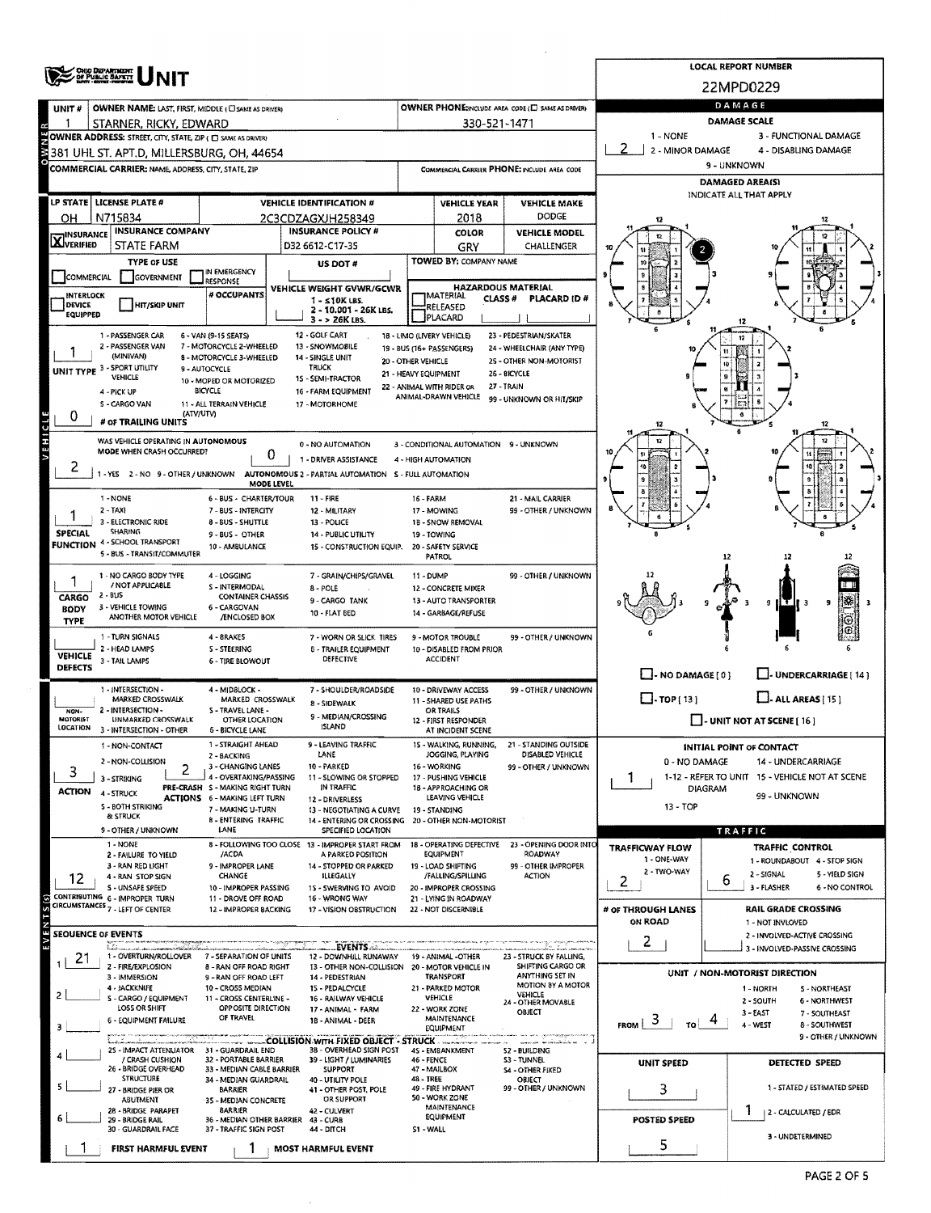|                             | <b>CHOO DEPARTMENT</b><br>OF PUBLIC SAFETY                         |                                                           |                                                                               |                            |                                                               |                                                                                   |                                            | <b>LOCAL REPORT NUMBER</b><br>22MPD0229                      |  |  |  |  |  |
|-----------------------------|--------------------------------------------------------------------|-----------------------------------------------------------|-------------------------------------------------------------------------------|----------------------------|---------------------------------------------------------------|-----------------------------------------------------------------------------------|--------------------------------------------|--------------------------------------------------------------|--|--|--|--|--|
| UNIT#                       | OWNER NAME: LAST, FIRST, MIDDLE (CI SAME AS DRIVER)                |                                                           |                                                                               |                            |                                                               | OWNER PHONE; HOLDE AREA CODE (E) SAME AS DRIVER)                                  |                                            | DAMAGE                                                       |  |  |  |  |  |
|                             | STARNER, RICKY, EDWARD                                             |                                                           |                                                                               |                            | 330-521-1471                                                  |                                                                                   |                                            | <b>DAMAGE SCALE</b>                                          |  |  |  |  |  |
|                             | OWNER ADDRESS: STREET, CITY, STATE, ZIP ( C) SAME AS DRIVERY       |                                                           |                                                                               |                            |                                                               |                                                                                   | 1 - NONE                                   | 3 - FUNCTIONAL DAMAGE                                        |  |  |  |  |  |
|                             | 381 UHL ST. APT.D. MILLERSBURG. OH. 44654                          |                                                           |                                                                               |                            |                                                               |                                                                                   | 2 - MINOR DAMAGE                           | 4 - DISABLING DAMAGE                                         |  |  |  |  |  |
|                             | COMMERCIAL CARRIER: NAME, ADDRESS, CITY, STATE, ZIP                |                                                           |                                                                               |                            |                                                               | COMMERCIAL CARRIER PHONE: INCLUDE AREA CODE                                       | 9 - UNKNOWN                                |                                                              |  |  |  |  |  |
|                             |                                                                    |                                                           |                                                                               |                            |                                                               |                                                                                   | DAMAGED AREA(S)<br>INDICATE ALL THAT APPLY |                                                              |  |  |  |  |  |
|                             | LP STATE  LICENSE PLATE #                                          |                                                           | <b>VEHICLE IDENTIFICATION #</b>                                               |                            | <b>VEHICLE YEAR</b>                                           | <b>VEHICLE MAKE</b><br><b>DODGE</b>                                               |                                            |                                                              |  |  |  |  |  |
| OН                          | N715834<br><b>INSURANCE COMPANY</b>                                |                                                           | 2C3CDZAGXJH258349<br><b>INSURANCE POLICY #</b>                                |                            | 2018<br><b>COLOR</b>                                          | <b>VEHICLE MODEL</b>                                                              |                                            |                                                              |  |  |  |  |  |
| <b>X</b> INSURANCE          | <b>STATE FARM</b>                                                  |                                                           | D32 6612-C17-35                                                               |                            | GRY                                                           | CHALLENGER                                                                        |                                            |                                                              |  |  |  |  |  |
|                             | <b>TYPE OF USE</b>                                                 |                                                           | <b>US DOT #</b>                                                               |                            | TOWED BY: COMPANY NAME                                        |                                                                                   |                                            |                                                              |  |  |  |  |  |
| COMMERCIAL                  | <b>GOVERNMENT</b>                                                  | IN EMERGENCY<br>RESPONSE                                  |                                                                               |                            |                                                               |                                                                                   | g                                          |                                                              |  |  |  |  |  |
| INTERLOCK                   |                                                                    | # OCCUPANTS                                               | VEHICLE WEIGHT GVWR/GCWR<br>$1 - 510K$ LBS.                                   |                            | <b>HAZARDOUS MATERIAL</b><br>MATERIAL<br><b>CLASS#</b>        | <b>PLACARD ID#</b>                                                                |                                            |                                                              |  |  |  |  |  |
| DEVICE<br>EQUIPPED          | <b>HIT/SKIP UNIT</b>                                               |                                                           | 2 - 10.001 - 26K LBS.<br>3 - > 26K LBS.                                       |                            | RELEASED<br>PLACARD                                           |                                                                                   |                                            |                                                              |  |  |  |  |  |
|                             | 1 - PASSENGER CAR                                                  | 6 - VAN (9-15 SEATS)                                      | 12 - GOLF CART                                                                | 18 - LIMO (LIVERY VEHICLE) |                                                               | 23 - PEDESTRIAN/SKATER                                                            | s                                          | 12                                                           |  |  |  |  |  |
|                             | 2 - PASSENGER VAN<br>(MINIVAN)                                     | 7 - MOTORCYCLE 2-WHEELED                                  | 13 - SNOWMOBILE                                                               | 19 - BUS (16+ PASSENGERS)  |                                                               | 24 - WHEELCHAIR (ANY TYPE)                                                        |                                            |                                                              |  |  |  |  |  |
|                             | UNIT TYPE 3 - SPORT UTILITY                                        | 8 - MOTORCYCLE 3-WHEELED<br>9 - AUTOCYCLE                 | 14 - SINGLE UNIT<br><b>TRUCK</b>                                              | 20 - OTHER VEHICLE         |                                                               | 25 - OTHER NON-MOTORIST<br>26 - 8ICYCLE                                           |                                            | 10                                                           |  |  |  |  |  |
|                             | VEHICLE                                                            | 10 - MOPED OR MOTORIZED                                   | 15 - SEMI-TRACTOR                                                             | 21 - HEAVY EQUIPMENT       | 22 - ANIMAL WITH RIDER OR                                     | 27 - TRAIN                                                                        |                                            |                                                              |  |  |  |  |  |
|                             | 4 - PICK UP<br>S - CARGO VAN                                       | <b>BICYCLE</b><br>11 - ALL TERRAIN VEHICLE                | 16 - FARM EQUIPMENT<br>17 - MOTORHOME                                         |                            | ANIMAL-DRAWN VEHICLE                                          | 99 - UNKNOWN OR HIT/SKIP                                                          |                                            |                                                              |  |  |  |  |  |
| 0                           | # OF TRAILING UNITS                                                | (ATV/UTV)                                                 |                                                                               |                            |                                                               |                                                                                   | 12                                         |                                                              |  |  |  |  |  |
|                             | WAS VEHICLE OPERATING IN AUTONOMOUS                                |                                                           |                                                                               |                            |                                                               |                                                                                   | ŵ                                          | 12                                                           |  |  |  |  |  |
| <b>ATHICTE</b>              | MODE WHEN CRASH OCCURRED?                                          | 0                                                         | 0 - NO AUTOMATION<br>1 - DRIVER ASSISTANCE                                    |                            | 3 - CONDITIONAL AUTOMATION 9 - UNKNOWN<br>4 - HIGH AUTOMATION |                                                                                   | 10                                         |                                                              |  |  |  |  |  |
| 2                           | 1-YES 2-NO 9-OTHER/UNKNOWN                                         |                                                           | AUTONOMOUS 2 - PARTIAL AUTOMATION 5 - FULL AUTOMATION                         |                            |                                                               |                                                                                   | 10                                         |                                                              |  |  |  |  |  |
|                             |                                                                    | MODE LEVEL                                                |                                                                               |                            |                                                               |                                                                                   |                                            |                                                              |  |  |  |  |  |
|                             | 1 - NONE<br>$2 - TAX$                                              | 6 - BUS - CHARTER/TOUR<br>7 - BUS - INTERCITY             | $11 - FIRE$<br>12 - MILITARY                                                  | 16 - FARM                  | 17 - MOWING                                                   | 21 - MAIL CARRIER<br>99 - OTHER / UNKNOWN                                         |                                            |                                                              |  |  |  |  |  |
|                             | 3 - ELECTRONIC RIDE                                                | 8 - BUS - SHUTTLE                                         | 13 - POLICE                                                                   |                            | 1B - SNOW REMOVAL                                             |                                                                                   |                                            |                                                              |  |  |  |  |  |
| <b>SPECIAL</b>              | <b>SHARING</b><br><b>FUNCTION 4 - SCHOOL TRANSPORT</b>             | 9 - BUS - OTHER                                           | 14 - PUBLIC UTILITY                                                           |                            | 19 - TOWING                                                   |                                                                                   |                                            |                                                              |  |  |  |  |  |
|                             | 5 - BUS - TRANSIT/COMMUTER                                         | 10 - AMBULANCE                                            | 15 - CONSTRUCTION EQUIP.                                                      |                            | 20 - SAFETY SERVICE<br><b>PATROL</b>                          |                                                                                   |                                            | 12                                                           |  |  |  |  |  |
|                             | 1 - NO CARGO BODY TYPE                                             | 4 - LOGGING                                               | 7 - GRAIN/CHIPS/GRAVEL                                                        | 11 DUMP                    |                                                               | 99 - OTHER / UNKNOWN                                                              |                                            |                                                              |  |  |  |  |  |
|                             | / NOT APPLICABLE<br>2 - BUS                                        | S - INTERMODAL<br><b>CONTAINER CHASSIS</b>                | 8 - POLE                                                                      |                            | <b>12 - CONCRETE MIXER</b>                                    |                                                                                   |                                            |                                                              |  |  |  |  |  |
| CARGO<br><b>BODY</b>        | 3 - VEHICLE TOWING                                                 | 6 - CARGOVAN                                              | 9 - CARGO TANK<br>10 - FLAT BED                                               |                            | 13 - AUTO TRANSPORTER<br>14 - GARBAGE/REFUSE                  |                                                                                   |                                            | 皪<br>9<br>9                                                  |  |  |  |  |  |
| <b>TYPE</b>                 | ANOTHER MOTOR VEHICLE                                              | <b>/ENCLOSED BOX</b>                                      |                                                                               |                            |                                                               |                                                                                   |                                            | ⊚                                                            |  |  |  |  |  |
|                             | 1 - TURN SIGNALS                                                   | 4 - 8RAKES                                                | 7 - WORN OR SLICK TIRES                                                       |                            | 9 - MOTOR TROUBLE                                             | 99 - OTHER / UNKNOWN                                                              |                                            |                                                              |  |  |  |  |  |
| <b>VEHICLE</b>              | 2 - HEAD LAMPS<br>3 - TAIL LAMPS                                   | <b>S-STEERING</b><br><b>6 - TIRE BLOWOUT</b>              | <b>8 - TRAILER EQUIPMENT</b><br>DEFECTIVE                                     |                            | 10 - DISABLED FROM PRIOR<br><b>ACCIDENT</b>                   |                                                                                   |                                            |                                                              |  |  |  |  |  |
| <b>DEFECTS</b>              |                                                                    |                                                           |                                                                               |                            |                                                               |                                                                                   | $\Box$ - NO DAMAGE [ 0 ]                   | - UNDERCARRIAGE   14 1                                       |  |  |  |  |  |
|                             | 1 - INTERSECTION -<br>MARKED CROSSWALK                             | 4 - MIDSLOCK -<br>MARKED CROSSWALK                        | 7 - SHOULDER/ROADSIDE                                                         |                            | 10 - DRIVEWAY ACCESS<br>11 - SHARED USE PATHS                 | 99 - OTHER / UNKNOWN                                                              | $\Box$ -TOP(13)                            | $\Box$ - ALL AREAS [ 15 ]                                    |  |  |  |  |  |
| NON-                        | 2 - INTERSECTION -                                                 | S - TRAVEL LANE -                                         | 8 - SIDEWALK<br>9 - MEDIAN/CROSSING                                           |                            | OR TRAILS                                                     |                                                                                   |                                            |                                                              |  |  |  |  |  |
| <b>MOTORIST</b><br>LOCATION | UNMARKED CROSSWALK<br>3 - INTERSECTION - OTHER                     | OTHER LOCATION<br><b>6 - BICYCLE LANE</b>                 | <b>ISLAND</b>                                                                 |                            | 12 - FIRST RESPONDER<br>AT INCIDENT SCENE                     |                                                                                   | $\Box$ - UNIT NOT AT SCENE [ 16 ]          |                                                              |  |  |  |  |  |
|                             | 1 - NON-CONTACT                                                    | 1 - STRAIGHT AHEAD                                        | 9 - LEAVING TRAFFIC                                                           |                            | 15 - WALKING, RUNNING,                                        | 21 - STANDING OUTSIDE                                                             |                                            | INITIAL POINT OF CONTACT                                     |  |  |  |  |  |
|                             | 2 - NON-COLLISION<br>2                                             | 2 - BACKING<br>3 - CHANGING LANES                         | LANE<br>10 - PARKED                                                           |                            | JOGGING, PLAYING<br>16 - WORKING                              | DISABLED VEHICLE<br>99 - OTHER / UNKNOWN                                          | 0 - NO DAMAGE                              | 14 - UNDERCARRIAGE                                           |  |  |  |  |  |
| 3                           | 3 - STRIKING                                                       | 4 - OVERTAKING/PASSING<br>PRE-CRASH S - MAKING RIGHT TURN | 11 - SLOWING OR STOPPED<br>IN TRAFFIC                                         |                            | 17 - PUSHING VEHICLE<br>18 - APPROACHING OR                   |                                                                                   | L                                          | 1-12 - REFER TO UNIT 15 - VEHICLE NOT AT SCENE               |  |  |  |  |  |
| <b>ACTION</b>               | 4 - STRUCK                                                         | <b>ACTIONS</b> 6 - MAKING LEFT TURN                       | 12 - DRIVERLESS                                                               |                            | LEAVING VEHICLE                                               |                                                                                   |                                            | <b>DIAGRAM</b><br>99 - UNKNOWN                               |  |  |  |  |  |
|                             | S - BOTH STRIKING<br>& STRUCK                                      | 7 - MAKING U-TURN<br>8 - ENTERING TRAFFIC                 | 13 - NEGOTIATING A CURVE<br>14 - ENTERING OR CROSSING 20 - OTHER NON-MOTORIST |                            | 19 - STANDING                                                 |                                                                                   | $13 - TOP$                                 |                                                              |  |  |  |  |  |
|                             | 9 - OTHER / UNKNOWN                                                | LANE                                                      | SPECIFIED LOCATION                                                            |                            |                                                               |                                                                                   |                                            | TRAFFIC                                                      |  |  |  |  |  |
|                             | 1 - NONE<br>2 - FAILURE TO YIELD                                   | /ACDA                                                     | 8 - FOLLOWING TOO CLOSE 13 - IMPROPER START FROM<br>A PARKED POSITION         |                            | 18 - OPERATING DEFECTIVE<br>EQUIPMENT                         | 23 - OPENING DOOR INTO<br><b>ROADWAY</b>                                          | <b>TRAFFICWAY FLOW</b>                     | <b>TRAFFIC CONTROL</b>                                       |  |  |  |  |  |
|                             | 3 - RAN RED LIGHT                                                  | 9 - IMPROPER LANE                                         | 14 - STOPPED OR PARKED                                                        |                            | 19 - LOAD SHIFTING                                            | 99 - OTHER IMPROPER                                                               | 1 - ONE-WAY<br>2 - TWO-WAY                 | 1 - ROUNDABOUT 4 - STOP SIGN<br>2 - SIGNAL<br>5 - YIELD SIGN |  |  |  |  |  |
| 12                          | 4 - RAN STOP SIGN<br>S - UNSAFE SPEED                              | CHANGE<br>10 - IMPROPER PASSING                           | <b>ILLEGALLY</b><br>15 - SWERVING TO AVOID                                    |                            | /FALLING/SPILLING<br>20 - IMPROPER CROSSING                   | <b>ACTION</b>                                                                     | 2                                          | 6<br>3 - FLASHER<br>6 - NO CONTROL                           |  |  |  |  |  |
|                             | CONTRIBUTING 6 - IMPROPER TURN<br>CIRCUMSTANCES 7 - LEFT OF CENTER | 11 - DROVE OFF ROAD                                       | 15 - WRONG WAY                                                                |                            | 21 - LYING IN ROADWAY                                         |                                                                                   |                                            |                                                              |  |  |  |  |  |
|                             |                                                                    | 12 - IMPROPER BACKING                                     | 17 - VISION OBSTRUCTION                                                       |                            | 22 - NOT DISCERNIBLE                                          |                                                                                   | # OF THROUGH LANES<br><b>ON ROAD</b>       | <b>RAIL GRADE CROSSING</b><br>1 - NOT INVLOVED               |  |  |  |  |  |
| EVENTS(s)                   | <b>SEQUENCE OF EVENTS</b>                                          |                                                           |                                                                               |                            |                                                               |                                                                                   | 2                                          | 2 - INVOLVED-ACTIVE CROSSING                                 |  |  |  |  |  |
| 21                          | Editministration<br>martin meridian men<br>1 - OVERTURN/ROLLOVER   | 7 - SEPARATION OF UNITS                                   | <b>EVENTS</b><br>12 - DOWNHILL RUNAWAY                                        |                            | 19 - ANIMAL -OTHER                                            | enna en antigo estadounidense de contra como como como<br>23 - STRUCK BY FALLING, |                                            | 3 - INVOLVED-PASSIVE CROSSING                                |  |  |  |  |  |
|                             | 2 - FIRE/EXPLOSION<br>3 - IMMERSION                                | 8 - RAN OFF ROAD RIGHT<br>9 - RAN OFF ROAD LEFT           | 13 - OTHER NON-COLLISION<br>14 - PEDESTRIAN                                   |                            | 20 - MOTOR VEHICLE IN<br><b><i>TRANSPORT</i></b>              | SHIFTING CARGO OR<br>ANYTHING SET IN                                              |                                            | UNIT / NON-MOTORIST DIRECTION                                |  |  |  |  |  |
|                             | 4 - JACKKNIFE                                                      | 10 - CROSS MEDIAN                                         | 15 - PEDALCYCLE                                                               |                            | 21 - PARKED MOTOR                                             | MOTION BY A MOTOR<br>VEHICLE                                                      |                                            | 1 - NORTH<br><b>S-NORTHEAST</b>                              |  |  |  |  |  |
|                             | S - CARGO / EQUIPMENT<br>LOSS OR SHIFT                             | 11 - CROSS CENTERLINE -<br>OPPOSITE DIRECTION             | 16 - RAILWAY VEHICLE<br>17 - ANIMAL - FARM                                    |                            | VEHICLE<br>22 - WORK ZONE                                     | 24 - OTHER MOVABLE                                                                |                                            | 2 - SOUTH<br><b>6 - NORTHWEST</b>                            |  |  |  |  |  |
|                             | 6 - EQUIPMENT FAILURE                                              | OF TRAVEL                                                 | 18 - ANIMAL - DEER                                                            |                            | MAINTENANCE<br>EQUIPMENT                                      | OBJECT                                                                            | 3<br>FROM<br>TΩ                            | 3 - EAST<br>7 - SOUTHEAST<br>4 - WEST<br>8 - SOUTHWEST       |  |  |  |  |  |
|                             |                                                                    |                                                           | <b>EXAMPLE 20 AND IN STRUCK STRUCK</b>                                        |                            |                                                               | <b>SOUTH</b>                                                                      |                                            | 9 - OTHER / UNKNOWN                                          |  |  |  |  |  |
|                             | 25 - IMPACT ATTENUATOR 31 - GUARDRAIL END<br>/ CRASH CUSHION       | 32 - PORTABLE BARRIER                                     | 3B - OVERHEAD SIGN POST<br>39 - LIGHT / LUMINARIES                            | 46 - FENCE                 | 4S - EMBANKMENT                                               | <b>S2 - BUILDING</b><br>S3 - TUNNEL                                               | <b>UNIT SPEED</b>                          | DETECTED SPEED                                               |  |  |  |  |  |
|                             | 26 - BRIDGE OVERHEAD<br><b>STRUCTURE</b>                           | 33 - MEDIAN CABLE BARRIER<br>34 - MEDIAN GUARDRAIL        | <b>SUPPORT</b><br>40 - UTILITY POLE                                           | 48 - TREE                  | 47 - MAILBOX                                                  | S4 - OTHER FIXED<br>OBJECT                                                        |                                            |                                                              |  |  |  |  |  |
|                             | 27 - BRIDGE PIER OR                                                | BARRIER                                                   | 41 - OTHER POST, POLE                                                         |                            | 49 - FIRE HYDRANT<br><b>SO - WORK ZONE</b>                    | 99 - OTHER / UNKNOWN                                                              | 3                                          | 1 - STATED / ESTIMATED SPEED                                 |  |  |  |  |  |
|                             | ABUTMENT<br>28 - BRIDGE PARAPET                                    | 35 - MEDIAN CONCRETE<br><b>BARRIER</b>                    | OR SUPPORT<br>42 - CULVERT                                                    |                            | MAINTENANCE                                                   |                                                                                   |                                            | Ŧ<br>  2 - CALCULATED / EDR                                  |  |  |  |  |  |
|                             | 29 - BRIDGE RAIL<br>30 - GUARDRAIL FACE                            | 37 - TRAFFIC SIGN POST                                    | 36 - MEDIAN OTHER BARRIER 43 - CURB<br><b>44 - DITCH</b>                      | S1 - WALL                  | <b>EQUIPMENT</b>                                              |                                                                                   | <b>POSTED SPEED</b>                        |                                                              |  |  |  |  |  |
|                             | FIRST HARMFUL EVENT                                                |                                                           | <b>MOST HARMFUL EVENT</b>                                                     |                            |                                                               |                                                                                   | 5                                          | 3 - UNDETERMINED                                             |  |  |  |  |  |
|                             |                                                                    |                                                           |                                                                               |                            |                                                               |                                                                                   |                                            |                                                              |  |  |  |  |  |

 $\mathcal{L}$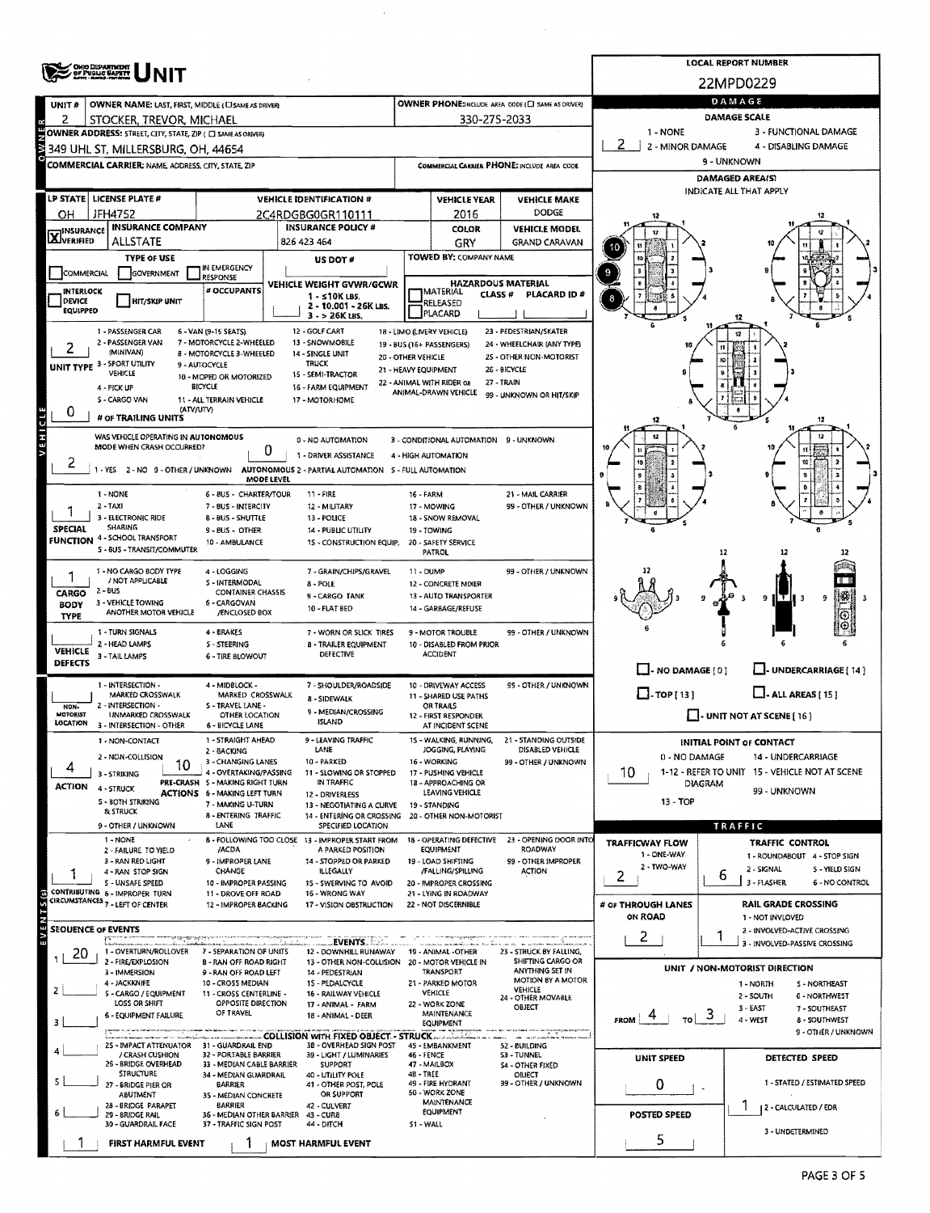|                            | <b>OHO DEPARTMENT</b><br>OF PUBLIC <b>GAPETY</b>             |                                                          |                                                                       |                      |                                                     |                                                   |                                   | <b>LOCAL REPORT NUMBER</b>                     |  |  |  |  |  |
|----------------------------|--------------------------------------------------------------|----------------------------------------------------------|-----------------------------------------------------------------------|----------------------|-----------------------------------------------------|---------------------------------------------------|-----------------------------------|------------------------------------------------|--|--|--|--|--|
|                            |                                                              |                                                          |                                                                       |                      |                                                     |                                                   | 22MPD0229                         |                                                |  |  |  |  |  |
| UNIT#                      | OWNER NAME: LAST, FIRST, MIDDLE (CI SAME AS DRIVER)          |                                                          |                                                                       |                      |                                                     | OWNER PHONE:INCLUDE AREA CODE (E) SAME AS DRIVER) | DAMAGE                            |                                                |  |  |  |  |  |
| 2                          | STOCKER, TREVOR, MICHAEL                                     |                                                          |                                                                       |                      | 330-275-2033                                        |                                                   | <b>DAMAGE SCALE</b>               |                                                |  |  |  |  |  |
|                            | OWNER ADDRESS: STREET, CITY, STATE, ZIP ( C) SAME AS ORIVER) |                                                          |                                                                       |                      |                                                     |                                                   | 1 - NONE<br>3 - FUNCTIONAL DAMAGE |                                                |  |  |  |  |  |
|                            | 349 UHL ST, MILLERSBURG, OH, 44654                           |                                                          |                                                                       |                      |                                                     |                                                   | 2.<br>2 - MINOR DAMAGE            | 4 - DISABLING DAMAGE                           |  |  |  |  |  |
|                            | <b>COMMERCIAL CARRIER: NAME, ADDRESS, CITY, STATE, ZIP</b>   |                                                          |                                                                       |                      |                                                     | COMMERCIAL CARRIER PHONE: INCLUDE AREA CODE       | 9 - UNKNOWN                       |                                                |  |  |  |  |  |
|                            |                                                              |                                                          |                                                                       |                      |                                                     |                                                   | DAMAGED AREA(S)                   |                                                |  |  |  |  |  |
|                            | LP STATE LICENSE PLATE #                                     |                                                          | <b>VEHICLE IDENTIFICATION #</b>                                       |                      | <b>VEHICLE YEAR</b>                                 | <b>VEHICLE MAKE</b>                               |                                   | INDICATE ALL THAT APPLY                        |  |  |  |  |  |
| OН                         | <b>JFH4752</b>                                               |                                                          | 2C4RDGBG0GR110111                                                     |                      | 2016                                                | DODGE                                             |                                   |                                                |  |  |  |  |  |
|                            | <b>INSURANCE COMPANY</b>                                     |                                                          | <b>INSURANCE POLICY #</b>                                             |                      | COLOR                                               | <b>VEHICLE MODEL</b>                              |                                   |                                                |  |  |  |  |  |
| <b>X</b> INSURANCE         | <b>ALLSTATE</b>                                              |                                                          | 826 423 464                                                           |                      | GRY                                                 | <b>GRAND CARAVAN</b>                              |                                   |                                                |  |  |  |  |  |
|                            | <b>TYPE OF USE</b>                                           |                                                          | US DOT #                                                              |                      | TOWED BY: COMPANY NAME                              |                                                   |                                   |                                                |  |  |  |  |  |
| COMMERCIAL                 | GOVERNMENT                                                   | IN EMERGENCY                                             |                                                                       |                      |                                                     |                                                   |                                   |                                                |  |  |  |  |  |
|                            |                                                              | <b>RESPONSE</b><br># OCCUPANTS                           | VEHICLE WEIGHT GVWR/GCWR                                              |                      | <b>HAZARDOUS MATERIAL</b>                           |                                                   |                                   |                                                |  |  |  |  |  |
| <b>INTERLOCK</b><br>DEVICE | <b>HIT/SKIP UNIT</b>                                         |                                                          | 1 - s10K LBS.<br>2 - 10.001 - 26K LBS.                                |                      | <b>IMATERIAL</b><br><b>CLASS#</b><br>RELEASED       | PLACARD ID#                                       |                                   |                                                |  |  |  |  |  |
| EQUIPPED                   |                                                              |                                                          | 3 - > 26K LBS.                                                        |                      | PLACARD                                             |                                                   |                                   |                                                |  |  |  |  |  |
|                            | 1 - PASSENGER CAR                                            | 6 - VAN (9-15 SEATS)                                     | 12 - GOLF CART                                                        |                      | 18 - LIMO (LIVERY VEHICLE)                          | 23 - PEDESTRIAN/SKATER                            |                                   | 12                                             |  |  |  |  |  |
|                            | 2 - PASSENGER VAN                                            | 7 - MOTORCYCLE 2-WHEELED                                 | 13 - SNOWMOBILE                                                       |                      | 19 - BUS (16+ PASSENGERS)                           | 24 - WHEELCHAIR (ANY TYPE)                        | 10                                |                                                |  |  |  |  |  |
|                            | (MINIVAN)<br>UNIT TYPE 3 - SPORT UTILITY                     | <b>B - MOTORCYCLE 3-WHEELED</b><br>9 - AUTOCYCLE         | 14 - SINGLE UNIT<br><b>TRUCK</b>                                      | 20 - OTHER VEHICLE   |                                                     | 2S - OTHER NON-MOTORIST                           |                                   | 10                                             |  |  |  |  |  |
|                            | VEHICLE                                                      | 10 - MOPED OR MOTORIZED                                  | 15 - SEMI-TRACTOR                                                     | 21 - HEAVY EQUIPMENT |                                                     | 26 - BICYCLE                                      |                                   |                                                |  |  |  |  |  |
|                            | 4 - PICK UP                                                  | <b>BICYCLE</b>                                           | 16 - FARM EQUIPMENT                                                   |                      | 22 - ANIMAL WITH RIDER OR<br>ANIMAL-DRAWN VEHICLE   | 27 - TRAIN<br>99 - UNKNOWN OR HIT/SKIP            |                                   |                                                |  |  |  |  |  |
|                            | 5 - CARGO VAN<br>(ATV/UTV)                                   | 11 - ALL TERRAIN VEHICLE                                 | 17 - MOTORHOME                                                        |                      |                                                     |                                                   |                                   |                                                |  |  |  |  |  |
| 0                          | # OF TRAILING UNITS                                          |                                                          |                                                                       |                      |                                                     |                                                   |                                   | 12                                             |  |  |  |  |  |
| VEHICLE                    | WAS VEHICLE OPERATING IN AUTONOMOUS                          |                                                          |                                                                       |                      |                                                     |                                                   |                                   |                                                |  |  |  |  |  |
|                            | MODE WHEN CRASH OCCURRED?                                    | 0                                                        | 0 - NO AUTOMATION                                                     |                      | 3 - CONDITIONAL AUTOMATION 9 - UNKNOWN              |                                                   |                                   |                                                |  |  |  |  |  |
|                            |                                                              |                                                          | 1 - DRIVER ASSISTANCE                                                 |                      | 4 - HIGH AUTOMATION                                 |                                                   |                                   |                                                |  |  |  |  |  |
|                            | -YES 2-NO 9-OTHER/UNKNOWN                                    | MODE LEVEL                                               | AUTONOMOUS 2 - PARTIAL AUTOMATION 5 - FULL AUTOMATION                 |                      |                                                     |                                                   |                                   |                                                |  |  |  |  |  |
|                            | 1 - NONE                                                     | 6 - 8US - CHARTER/TOUR                                   | $11 - FIRE$                                                           | 16 - FARM            |                                                     | 21 - MAIL CARRIER                                 |                                   |                                                |  |  |  |  |  |
|                            | $2 - TAXI$                                                   | 7 - BUS - INTERCITY                                      | 12 - MILITARY                                                         |                      | 17 - MOWING                                         | 99 - OTHER / UNKNOWN                              |                                   |                                                |  |  |  |  |  |
|                            | 3 - ELECTRONIC RIDE                                          | 8 - BUS - SHUTTLE                                        | 13 - POLICE                                                           |                      | 18 - SNOW REMOVAL                                   |                                                   |                                   |                                                |  |  |  |  |  |
| SPECIAL                    | SHARING<br><b>FUNCTION 4 - SCHOOL TRANSPORT</b>              | 9 - BUS - OTHER                                          | 14 - PUBLIC UTILITY                                                   |                      | 19 - TOWING                                         |                                                   |                                   |                                                |  |  |  |  |  |
|                            | S - 8US - TRANSIT/COMMUTER                                   | 10 - AMBULANCE                                           | 1S - CONSTRUCTION EQUIP. 20 - SAFETY SERVICE                          |                      | <b>PATROL</b>                                       |                                                   |                                   |                                                |  |  |  |  |  |
|                            |                                                              |                                                          |                                                                       |                      |                                                     |                                                   |                                   |                                                |  |  |  |  |  |
|                            | 1 - NO CARGO BODY TYPE<br>/ NOT APPLICABLE                   | 4 - LOGGING<br>S - INTERMODAL                            | 7 - GRAIN/CHIPS/GRAVEL<br>8 - POLE                                    | 11 - DUMP            | 12 - CONCRETE MIXER                                 | 99 - OTHER / UNKNOWN                              |                                   |                                                |  |  |  |  |  |
| CARGO                      | 2 - BUS                                                      | <b>CONTAINER CHASSIS</b>                                 | 9 - CARGO TANK                                                        |                      | 13 - AUTO TRANSPORTER                               |                                                   |                                   | ¦%)<br>ΙŦ<br>9<br>91<br>lЗ                     |  |  |  |  |  |
| <b>BODY</b>                | 3 - VEHICLE TOWING<br>ANOTHER MOTOR VEHICLE                  | 6 - CARGOVAN<br>/ENCLOSED BOX                            | 10 - FLAT BED                                                         |                      | 14 - GARBAGE/REFUSE                                 |                                                   |                                   |                                                |  |  |  |  |  |
| <b>TYPE</b>                |                                                              |                                                          |                                                                       |                      |                                                     |                                                   |                                   |                                                |  |  |  |  |  |
|                            | 1 - TURN SIGNALS<br>2 - HEAD LAMPS                           | 4 - BRAKES                                               | 7 - WORN OR SLICK TIRES                                               |                      | 9 - MOTOR TROUBLE<br>10 - DISABLED FROM PRIOR       | 99 - OTHER / UNKNOWN                              |                                   |                                                |  |  |  |  |  |
| <b>VEHICLE</b>             | 3 - TAIL LAMPS                                               | S - STEERING<br><b>6 - TIRE BLOWOUT</b>                  | <b>B - TRAILER EQUIPMENT</b><br><b>DEFECTIVE</b>                      |                      | <b>ACCIDENT</b>                                     |                                                   |                                   |                                                |  |  |  |  |  |
| <b>DEFECTS</b>             |                                                              |                                                          |                                                                       |                      |                                                     |                                                   | $\Box$ - NO DAMAGE $[0]$          |                                                |  |  |  |  |  |
|                            | 1 - INTERSECTION -                                           | 4 - MIDBLOCK -                                           | 7 - SHOULDER/ROADSIDE                                                 |                      | 10 - DRIVEWAY ACCESS                                | 99 - OTHER / UNKNOWN                              |                                   |                                                |  |  |  |  |  |
|                            | MARKED CROSSWALK                                             | MARKED CROSSWALK                                         | 8 - SIDEWALK                                                          |                      | 11 - SHARED USE PATHS                               |                                                   | $\Box$ -TOP[13]                   | $\Box$ - ALL AREAS [ 15 ]                      |  |  |  |  |  |
| NON-<br>MOTORIST           | 2 - INTERSECTION -<br>UNMARKED CROSSWALK                     | S - TRAVEL LANE -<br><b>OTHER LOCATION</b>               | 9 - MEDIAN/CROSSING                                                   |                      | OR TRAILS<br>12 - FIRST RESPONDER                   |                                                   |                                   | $\Box$ - UNIT NOT AT SCENE [ 16 ]              |  |  |  |  |  |
| LOCATION                   | 3 - INTERSECTION - OTHER                                     | 6 - BICYCLE LANE                                         | <b>ISLAND</b>                                                         |                      | AT INCIDENT SCENE                                   |                                                   |                                   |                                                |  |  |  |  |  |
|                            | 1 - NON-CONTACT                                              | 1 - STRAIGHT AHEAD                                       | 9 - LEAVING TRAFFIC                                                   |                      | 15 - WALKING, RUNNING,                              | 21 - STANDING OUTSIDE                             |                                   | <b>INITIAL POINT OF CONTACT</b>                |  |  |  |  |  |
|                            | 2 - NON-COLLISION                                            | 2 - BACKING<br>3 - CHANGING LANES                        | LANE<br>10 - PARKED                                                   |                      | JOGGING, PLAYING<br>16 - WORKING                    | DISABLED VEHICLE<br>99 - OTHER / UNKNOWN          | 0 - NO DAMAGE                     | 14 - UNDERCARRIAGE                             |  |  |  |  |  |
| 4                          | 10<br>3 - STRIKING                                           | 4 - OVERTAKING/PASSING                                   | 11 - SLOWING OR STOPPED                                               |                      | 17 - PUSHING VEHICLE                                |                                                   | 10                                | 1-12 - REFER TO UNIT 15 - VEHICLE NOT AT SCENE |  |  |  |  |  |
| <b>ACTION</b>              | 4 - STRUCK                                                   | PRE-CRASH 5 - MAKING RIGHT TURN                          | IN TRAFFIC                                                            |                      | 18 - APPROACHING OR<br><b>LEAVING VEHICLE</b>       |                                                   | <b>DIAGRAM</b>                    | 99 - UNKNOWN                                   |  |  |  |  |  |
|                            | S - BOTH STRIKING                                            | <b>ACTIONS 6 - MAKING LEFT TURN</b><br>7 - MAKING U-TURN | 12 - DRIVERLESS<br>13 - NEGOTIATING A CURVE                           |                      | 19 - STANDING                                       |                                                   | 13 - TOP                          |                                                |  |  |  |  |  |
|                            | & STRUCK                                                     | 8 - ENTERING TRAFFIC                                     | 14 - ENTERÍNG OR CROSSING                                             |                      | 20 - OTHER NON-MOTORIST                             |                                                   |                                   |                                                |  |  |  |  |  |
|                            | 9 - OTHER / UNKNOWN                                          | LANE                                                     | SPECIFIED LOCATION                                                    |                      |                                                     |                                                   |                                   | TRAFFIC                                        |  |  |  |  |  |
|                            | 1 - NONE<br>2 - FAILURE TO YIELD                             | /ACDA                                                    | 8 - FOLLOWING TOO CLOSE 13 - IMPROPER START FROM<br>A PARKED POSITION |                      | <b>18 - OPERATING DEFECTIVE</b><br><b>EQUIPMENT</b> | 23 - OPENING DOOR INTO<br><b>ROADWAY</b>          | <b>TRAFFICWAY FLOW</b>            | TRAFFIC CONTROL                                |  |  |  |  |  |
|                            | 3 - RAN RED LIGHT                                            | 9 - IMPROPER LANE                                        | 14 - STOPPED OR PARKED                                                |                      | 19 - LOAD SHIFTING                                  | 99 - OTHER IMPROPER                               | 1 - ONE-WAY                       | 1 - ROUNDABOUT 4 - STOP SIGN                   |  |  |  |  |  |
|                            | 4 - RAN STOP SIGN                                            | CHANGE                                                   | ILLEGALLY                                                             |                      | /FALLING/SPILLING                                   | <b>ACTION</b>                                     | 2 - TWO-WAY<br>2                  | 2 - SIGNAL<br>S - YIELD SIGN<br>6              |  |  |  |  |  |
|                            | S - UNSAFE SPEED<br>CONTRIBUTING 6 - IMPROPER TURN           | 10 - IMPROPER PASSING<br>11 - DROVE OFF ROAD             | 15 - SWERVING TO AVOID<br>16 - WRONG WAY                              |                      | 20 - IMPROPER CROSSING<br>21 - LYING IN ROADWAY     |                                                   |                                   | 3 - FLASHER<br>6 - NO CONTROL                  |  |  |  |  |  |
| (s) S.T.                   | CIRCUMSTANCES 7 - LEFT OF CENTER                             | 12 - IMPROPER BACKING                                    | 17 - VISION OBSTRUCTION                                               |                      | 22 - NOT DISCERNIBLE                                |                                                   | # OF THROUGH LANES                | <b>RAIL GRADE CROSSING</b>                     |  |  |  |  |  |
|                            |                                                              |                                                          |                                                                       |                      |                                                     |                                                   | ON ROAD                           | 1 - NOT INVLOVED                               |  |  |  |  |  |
| SEOUENCE OF EVENTS         |                                                              |                                                          |                                                                       |                      |                                                     |                                                   | 2                                 | 2 - INVOLVED-ACTIVE CROSSING                   |  |  |  |  |  |
| 20                         | 1 - OVERTURN/ROLLOVER                                        | 7 - SEPARATION OF UNITS                                  | <b>EVENTS</b><br>12 - DOWNHILL RUNAWAY                                |                      | 19 - ANIMAL -OTHER                                  | 23 - STRUCK BY FALLING,                           |                                   | 3 - INVOLVED-PASSIVE CROSSING                  |  |  |  |  |  |
|                            | 2 - FIRE/EXPLOSION                                           | <b>B - RAN OFF ROAD RIGHT</b>                            | 13 - OTHER NON-COLLISION                                              |                      | 20 - MOTOR VEHICLE IN                               | SHIFTING CARGO OR<br>ANYTHING SET IN              |                                   | UNIT / NON-MOTORIST DIRECTION                  |  |  |  |  |  |
|                            | 3 - IMMERSION<br>4 - JACKKNIFE                               | 9 - RAN OFF ROAD LEFT<br>10 - CROSS MEDIAN               | 14 - PEDESTRIAN<br>15 - PEDALCYCLE                                    |                      | TRANSPORT<br>21 - PARKED MOTOR                      | <b>MOTION BY A MOTOR</b>                          |                                   | 1 - NORTH<br>S - NORTHEAST                     |  |  |  |  |  |
|                            | S - CARGO / EQUIPMENT                                        | 11 - CROSS CENTERLINE -                                  | 16 - RAILWAY VEHICLE                                                  |                      | VEHICLE                                             | VEHICLE<br>24 - OTHER MOVABLE                     |                                   | 2 - SOUTH<br>6 - NORTHWEST                     |  |  |  |  |  |
|                            | LOSS OR SHIFT                                                | OPPOSITE DIRECTION<br>OF TRAVEL                          | 17 - ANIMAL - FARM                                                    |                      | 22 - WORK ZONE<br>MAINTENANCE                       | OBJECT                                            |                                   | $3 - EAST$<br>7 - SOUTHEAST                    |  |  |  |  |  |
|                            | 6 - EQUIPMENT FAILURE                                        |                                                          | 18 - ANIMAL - DEER                                                    |                      | <b>EQUIPMENT</b>                                    |                                                   | <b>FROM</b>                       | 4 - WEST<br>8 - SOUTHWEST                      |  |  |  |  |  |
|                            |                                                              |                                                          |                                                                       |                      |                                                     |                                                   |                                   | 9 - OTHER / UNKNOWN                            |  |  |  |  |  |
|                            | 25 - IMPACT ATTENUATOR 31 - GUARDRAIL END<br>/ CRASH CUSHION | 32 - PORTABLE BARRIER                                    | 3B - OVERHEAD SIGN POST<br>39 - LIGHT / LUMINARIES                    | 46 - FENCE           | 45 - EMBANKMENT                                     | 52 - BUILDING<br><b>S3 - TUNNEL</b>               | UNIT SPEED                        | DETECTED SPEED                                 |  |  |  |  |  |
|                            | 26 - BRIDGE OVERHEAD<br>STRUCTURE                            | 33 - MEDIAN CABLE BARRIER                                | <b>SUPPORT</b>                                                        |                      | 47 - MAILBOX                                        | 54 - OTHER FIXED                                  |                                   |                                                |  |  |  |  |  |
|                            | 27 - BRIDGE PIER OR                                          | 34 - MEDIAN GUARDRAIL<br>BARRIER                         | 40 - UTILITY POLE<br>41 - OTHER POST, POLE                            | 4B-TREE              | 49 - FIRE HYDRANT                                   | OBJECT<br>99 - OTHER / UNKNOWN                    | 0<br>$\overline{a}$               | 1 - STATED / ESTIMATED SPEED                   |  |  |  |  |  |
|                            | ABUTMENT                                                     | 35 - MEDIAN CONCRETE                                     | OR SUPPORT                                                            |                      | 50 - WORK ZONE<br><b>MAINTENANCE</b>                |                                                   |                                   |                                                |  |  |  |  |  |
|                            | 28 - BRIDGE PARAPET<br>29 - BRIDGE RAIL                      | <b>BARRIER</b><br>36 - MEDIAN OTHER BARRIER              | 42 - CULVERT<br>43 - CUR8                                             |                      | <b>EQUIPMENT</b>                                    |                                                   | POSTED SPEED                      | 2 - CALCULATED / EDR                           |  |  |  |  |  |
|                            | 30 - GUARDRAIL FACE                                          | 37 - TRAFFIC SIGN POST                                   | 44 - DITCH                                                            | S1 - WALL            |                                                     |                                                   |                                   | 3 - UNDETERMINED                               |  |  |  |  |  |
|                            | <b>FIRST HARMFUL EVENT</b>                                   |                                                          | <b>MOST HARMFUL EVENT</b>                                             |                      |                                                     |                                                   | 5                                 |                                                |  |  |  |  |  |

 $\sim$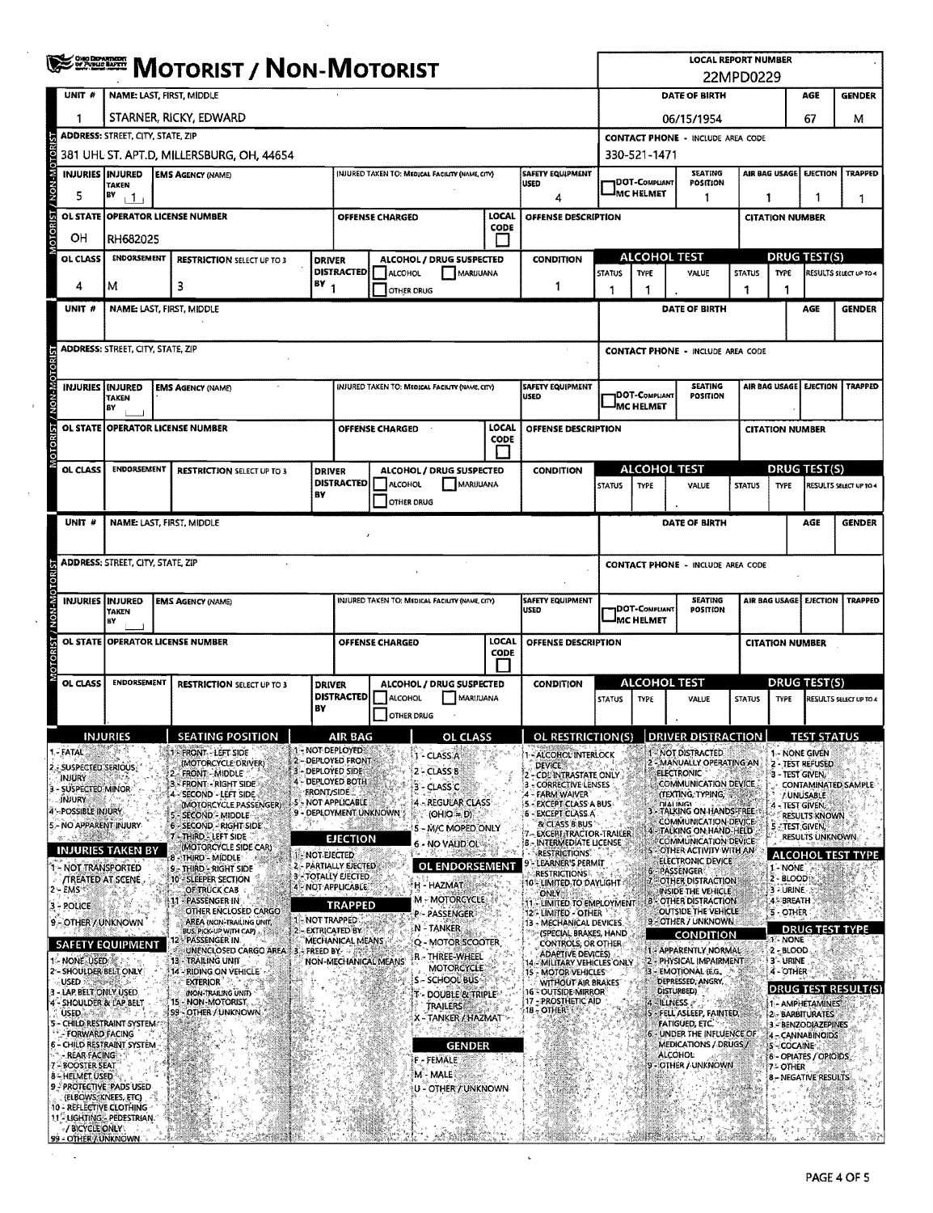|                                               | <b>WEEFERE MOTORIST / NON-MOTORIST</b>                                                                                                      |                                                              |                   |                                                  |                        |                                                 |                  |                                                                                        |                                                            | <b>LOCAL REPORT NUMBER</b><br>22MPD0229 |                                                               |                                        |                                  |                                             |                            |  |  |
|-----------------------------------------------|---------------------------------------------------------------------------------------------------------------------------------------------|--------------------------------------------------------------|-------------------|--------------------------------------------------|------------------------|-------------------------------------------------|------------------|----------------------------------------------------------------------------------------|------------------------------------------------------------|-----------------------------------------|---------------------------------------------------------------|----------------------------------------|----------------------------------|---------------------------------------------|----------------------------|--|--|
| UNIT #                                        | NAME: LAST, FIRST, MIDDLE                                                                                                                   |                                                              |                   |                                                  |                        |                                                 |                  |                                                                                        |                                                            |                                         | DATE OF BIRTH<br>AGE<br><b>GENDER</b>                         |                                        |                                  |                                             |                            |  |  |
| 1                                             |                                                                                                                                             | STARNER, RICKY, EDWARD                                       |                   |                                                  |                        |                                                 |                  |                                                                                        |                                                            |                                         | 67<br>06/15/1954<br>м                                         |                                        |                                  |                                             |                            |  |  |
|                                               |                                                                                                                                             | <b>ADDRESS: STREET, CITY, STATE, ZIP</b>                     |                   |                                                  |                        |                                                 |                  |                                                                                        |                                                            |                                         | <b>CONTACT PHONE - INCLUDE AREA CODE</b>                      |                                        |                                  |                                             |                            |  |  |
| NON-MOTOR                                     |                                                                                                                                             | 381 UHL ST. APT.D, MILLERSBURG, OH, 44654                    |                   |                                                  |                        |                                                 |                  |                                                                                        | 330-521-1471                                               |                                         |                                                               |                                        |                                  |                                             |                            |  |  |
|                                               | <b>INJURIES INJURED</b><br>SAFETY EQUIPMENT<br><b>EMS AGENCY (NAME)</b><br>(NJURED TAKEN TO: MEDICAL FACILITY (NAME, CITY)<br>USED<br>TAKEN |                                                              |                   |                                                  |                        |                                                 |                  | <b>SEATING</b><br>AIR BAG USAGE<br><b>EJECTION</b><br><b>DOT-COMPLIANT</b><br>POSITION |                                                            |                                         |                                                               |                                        | <b>TRAPPED</b>                   |                                             |                            |  |  |
| 5                                             | BY<br>$+1$<br>4                                                                                                                             |                                                              |                   |                                                  |                        |                                                 |                  |                                                                                        |                                                            | IMC HELMET                              | 1                                                             |                                        | 1<br>1<br>-1                     |                                             |                            |  |  |
| <b>OTORIST</b><br><b>OL STATE</b>             |                                                                                                                                             | <b>OPERATOR LICENSE NUMBER</b>                               |                   |                                                  | <b>OFFENSE CHARGED</b> |                                                 | LOCAL<br>CODE    | OFFENSE DESCRIPTION                                                                    |                                                            |                                         |                                                               |                                        | <b>CITATION NUMBER</b>           |                                             |                            |  |  |
| OН                                            | RH682025                                                                                                                                    |                                                              |                   |                                                  |                        |                                                 |                  |                                                                                        |                                                            |                                         |                                                               |                                        |                                  |                                             |                            |  |  |
| <b>OL CLASS</b>                               | <b>ENDORSEMENT</b>                                                                                                                          | <b>RESTRICTION SELECT UP TO 3</b>                            | <b>DRIVER</b>     | <b>DISTRACTED</b>                                | <b>ALCOHOL</b>         | ALCOHOL / DRUG SUSPECTED<br>MARUUANA            |                  | <b>CONDITION</b>                                                                       | <b>STATUS</b>                                              | <b>TYPE</b>                             | <b>ALCOHOL TEST</b><br>VALUE                                  | <b>STATUS</b>                          | <b>TYPE</b>                      | <b>DRUG TEST(S)</b>                         | RESULTS SELECT UP TO 4     |  |  |
| 4                                             | м                                                                                                                                           | з                                                            | $18Y_1$           |                                                  | OTHER DRUG             |                                                 |                  | 1                                                                                      | 1                                                          | 1                                       |                                                               | 1                                      | 1                                |                                             |                            |  |  |
| UNIT #                                        | <b>NAME: LAST, FIRST, MIDDLE</b>                                                                                                            |                                                              |                   |                                                  |                        |                                                 |                  |                                                                                        |                                                            |                                         | DATE OF BIRTH                                                 |                                        |                                  | AGE                                         | <b>GENDER</b>              |  |  |
|                                               |                                                                                                                                             |                                                              |                   |                                                  |                        |                                                 |                  |                                                                                        |                                                            |                                         |                                                               |                                        |                                  |                                             |                            |  |  |
|                                               | <b>ADDRESS: STREET, CITY, STATE, ZIP</b>                                                                                                    |                                                              |                   |                                                  |                        |                                                 |                  |                                                                                        |                                                            |                                         | <b>CONTACT PHONE - INCLUDE AREA CODE</b>                      |                                        |                                  |                                             |                            |  |  |
|                                               |                                                                                                                                             |                                                              |                   |                                                  |                        |                                                 |                  |                                                                                        |                                                            |                                         |                                                               |                                        |                                  |                                             | <b>TRAPPED</b>             |  |  |
| / NON-MOTORIST                                | <b>INJURIES   INJURED</b><br><b>TAKEN</b>                                                                                                   | <b>EMS AGENCY (NAME)</b>                                     |                   |                                                  |                        | INJURED TAKEN TO: MEDICAL FACILITY (NAME CITY)  |                  | <b>SAFETY EQUIPMENT</b><br>USED                                                        |                                                            | DOT-COMPLIANT<br><b>MC HELMET</b>       | <b>SEATING</b><br>POSITION                                    |                                        | AIR BAG USAGE<br><b>EJECTION</b> |                                             |                            |  |  |
|                                               | BY<br>OL STATE OPERATOR LICENSE NUMBER                                                                                                      |                                                              |                   |                                                  | OFFENSE CHARGED        |                                                 | LOCAL            | OFFENSE DESCRIPTION                                                                    |                                                            |                                         |                                                               |                                        | <b>CITATION NUMBER</b>           |                                             |                            |  |  |
| <b>TORIST</b>                                 |                                                                                                                                             |                                                              |                   |                                                  |                        |                                                 | CODE             |                                                                                        |                                                            |                                         |                                                               |                                        |                                  |                                             |                            |  |  |
| OL CLASS                                      | <b>ENDORSEMENT</b>                                                                                                                          | <b>RESTRICTION SELECT UP TO 3</b>                            | <b>DRIVER</b>     |                                                  |                        | ALCOHOL / DRUG SUSPECTED                        |                  | <b>CONDITION</b>                                                                       |                                                            |                                         | <b>ALCOHOL TEST</b>                                           |                                        |                                  | <b>DRUG TEST(S)</b>                         |                            |  |  |
|                                               |                                                                                                                                             |                                                              | BY                | <b>DISTRACTED</b>                                | ALCOHOL                | MARUUANA                                        |                  |                                                                                        | <b>STATUS</b>                                              | <b>TYPE</b>                             | VALUE                                                         | <b>STATUS</b>                          | <b>TYPE</b>                      |                                             | RESULTS SELECT UP TO 4     |  |  |
|                                               |                                                                                                                                             |                                                              |                   |                                                  | OTHER DRUG             |                                                 |                  |                                                                                        |                                                            |                                         |                                                               |                                        |                                  |                                             |                            |  |  |
| UNIT #                                        |                                                                                                                                             | NAME: LAST, FIRST, MIDDLE                                    |                   |                                                  |                        |                                                 |                  |                                                                                        |                                                            |                                         | <b>DATE OF BIRTH</b>                                          |                                        |                                  | AGE                                         | <b>GENDER</b>              |  |  |
|                                               |                                                                                                                                             |                                                              |                   |                                                  |                        |                                                 |                  |                                                                                        |                                                            |                                         |                                                               |                                        |                                  |                                             |                            |  |  |
|                                               | <b>ADDRESS: STREET, CITY, STATE, ZIP</b>                                                                                                    |                                                              |                   |                                                  |                        |                                                 |                  |                                                                                        |                                                            |                                         | <b>CONTACT PHONE - INCLUDE AREA CODE</b>                      |                                        |                                  |                                             |                            |  |  |
|                                               | <b>INJURIES INJURED</b>                                                                                                                     | <b>EMS AGENCY (NAME)</b>                                     |                   |                                                  |                        | INJURED TAKEN TO; MEDICAL FACILITY (NAME, CITY) |                  | <b>SAFETY EQUIPMENT</b>                                                                | <b>SEATING</b><br>AIR BAG USAGE EJECTION<br><b>TRAPPED</b> |                                         |                                                               |                                        |                                  |                                             |                            |  |  |
|                                               | <b>TAKEN</b><br> EY                                                                                                                         |                                                              |                   |                                                  |                        |                                                 |                  | <b>USED</b>                                                                            | <b>DOT-COMPLIANT</b><br><b>POSITION</b><br>MC HELMET       |                                         |                                                               |                                        |                                  |                                             |                            |  |  |
| OL STATE                                      |                                                                                                                                             | <b>OPERATOR LICENSE NUMBER</b>                               |                   |                                                  | OFFENSE CHARGED        |                                                 | LOCAL            | OFFENSE DESCRIPTION                                                                    |                                                            |                                         |                                                               |                                        | <b>CITATION NUMBER</b>           |                                             |                            |  |  |
|                                               |                                                                                                                                             |                                                              |                   | <b>CODE</b>                                      |                        |                                                 |                  |                                                                                        |                                                            |                                         |                                                               |                                        |                                  |                                             |                            |  |  |
| OL CLASS                                      | <b>ENDORSEMENT</b>                                                                                                                          | <b>RESTRICTION SELECT UP TO 3</b>                            | <b>DRIVER</b>     | ALCOHOL / DRUG SUSPECTED                         |                        |                                                 | <b>CONDITION</b> | <b>ALCOHOL TEST</b>                                                                    |                                                            |                                         |                                                               | DRUG TEST(S)<br>RESULTS SELECT UP TO 4 |                                  |                                             |                            |  |  |
|                                               |                                                                                                                                             |                                                              | BY                | <b>DISTRACTED</b>                                | ALCOHOL<br>OTHER DRUG  | MARIJUANA                                       |                  |                                                                                        | <b>STATUS</b>                                              | <b>TYPE</b>                             | VALUE                                                         | <b>STATUS</b>                          | <b>TYPE</b>                      |                                             |                            |  |  |
|                                               | <b>INJURIES</b>                                                                                                                             | SEATING POSITION                                             |                   | AID RAG                                          | л.                     | OL CLASS                                        |                  | OL RESTRICTION(S) DRIVER DISTRACTION                                                   |                                                            |                                         |                                                               |                                        |                                  | TECT CTATHC                                 |                            |  |  |
| - FATAL                                       |                                                                                                                                             | <b>1- FRONT - LEFT SIDE</b>                                  |                   | 1 - NOT DEPLOYED<br>2 - DEPLOYED FRONT           |                        | - CLASS A                                       |                  | 1 - ALCOHOL INTERLOCK                                                                  |                                                            |                                         | 1 - NOT DISTRACTED                                            |                                        | 1 - NONE GIVEN                   |                                             |                            |  |  |
| 2.: SUSPECTED SERIOUS:<br>INJURY              |                                                                                                                                             | (MOTORCYCLE DRIVER)<br>FRONT - MIDDLE<br>FRONT - RIGHT SIDE  |                   | 3 - DEPLOYED SIDE<br>4 - DEPLOYED BOTH           |                        | 2 - CLASS 8                                     |                  | DEVICE.<br>CDUINTRASTATE ONLY                                                          |                                                            |                                         | - MANUALLY OPERATING AN<br>ELECTRONIC<br>COMMUNICATION DEVICE |                                        | 3 - TEST GIVEN,                  | 2 - TEST REFUSED                            |                            |  |  |
| 3 - SUSPECTED MINOR-<br><b>INJURY</b>         |                                                                                                                                             | - SECOND - LEFT SIDE<br>(MOTORCYCLE PASSENGER)               | <b>ERONT/SIDE</b> | 5 - NOT APPLICABLE                               |                        | $3 - C$ ASS $C$<br>- REGUEAR CLASS              |                  | : CORRECTIVE LENSES<br><b>FARM WAIVER</b><br>5 - EXCEPT CLASS A BUS                    |                                                            |                                         | (TEXTING, TYPING,<br>niai inigt                               |                                        |                                  | <b>UNUSABLE</b><br>- TEST GIVEN,            | CONTAMINATED SAMPLE        |  |  |
| 4 - POSSIBLE INJURY<br>5 - NO APPARENT INJURY |                                                                                                                                             | SECOND - MIDDLE<br>6 - SECOND - RIGHT SIDE                   |                   | 9 - DEPLOYMENT UNKNOWN                           |                        | $(OHIO = D)$<br>5 - M/C MOPED ONLY              |                  | 6 - EXCEPT CLASS A<br>& CLASS B BUS                                                    |                                                            |                                         | - TALKING ON HANDS-FREE<br>COMMUNICATION DEVICE               |                                        |                                  | <b>RESULTS KNOWN</b><br><b>ETEST GIVEN,</b> |                            |  |  |
|                                               |                                                                                                                                             | - THIRD - LEFT SIDE<br>(MOTORCYCLE SIDE CAR)                 |                   | <b>EJECTION</b>                                  |                        | 6 - NO VAUD OL®                                 |                  | <b>EXCERT TRACTOR-TRAILER</b><br><b>B-INTERMEDIATE LICENSE</b>                         |                                                            |                                         | 4 - TALKING ON HAND-HELD<br><b>COMMUNICATION DEVICE</b>       |                                        |                                  | RESULTS UNKNOWN                             |                            |  |  |
|                                               | <b>INJURIES TAKEN BY</b><br>- NOT TRANSPORTED                                                                                               | - THIRD - MIDDLE<br>9 - THIRD - RIGHT SIDE                   | 1 - NOT ELECTED   | 2 - PARTIALLY EJECTED                            |                        | <b>OL ENDORSEMENT</b>                           |                  | <b>RESTRICTIONS</b><br>LEARNER'S PERMIT                                                |                                                            |                                         | OTHER ACTIVITY WITH AN<br>ELECTRONIC DEVICE<br>PASSENGER      |                                        | 1 - NONE                         |                                             | <b>ALCOHOL TEST TYPE</b>   |  |  |
| $2 - EMS$                                     | /TREATED AT SCENE                                                                                                                           | 10 - SLEEPER SECTION<br>OF TRUCK CAB                         |                   | <b>3 - TOTALLY EJECTED</b><br>4 - NOT APPLICABLE |                        | H - HAZMAT                                      |                  | <b>RESTRICTIONS</b><br>10 - LIMITED TO DAYLIGHT :<br><b>ONLY</b>                       |                                                            |                                         | OTHER DISTRACTION<br>INSIDE THE VEHICLE                       |                                        | 2 - BLOOD<br>3 - URINE           |                                             |                            |  |  |
| 3 - POLICE                                    |                                                                                                                                             | PASSENGER IN<br>OTHER ENCLOSED CARGO                         |                   | <b>TRAPPED</b>                                   |                        | M - MOTORCYCLE<br>P - PASSENGER                 |                  | - LIMITED TO EMPLOYMENT<br>12 - LIMITED - OTHER                                        |                                                            |                                         | <b>OTHER DISTRACTION</b><br>OUTSIDE THE VEHICLE               |                                        | 4 BREATH<br><b>5-OTHER</b>       |                                             |                            |  |  |
|                                               | 9 - OTHER / UNKNOWN                                                                                                                         | AREA (NON-TRAILING UNIT,<br>BUS. PICK-UP WITH CAP).          | 1 - NOT TRAPPED   | 2 - EXTRICATED BY                                |                        | N - TANKER                                      |                  | 13 - MECHANICAL DEVICES<br>(SPECIAL BRAKES, HAND                                       |                                                            |                                         | 9 - OTHER / UNKNOWN<br><b>CONDITION</b>                       |                                        |                                  | <b>DRUG TEST TYPE</b>                       |                            |  |  |
|                                               | <b>SAFETY EQUIPMENT</b>                                                                                                                     | 12 - PASSENGER IN.<br>UNENCLOSED CARGO AREA : 3 - FREED BY-  |                   | MECHANICAL MEANS                                 |                        | Q - MOTOR SCOOTER<br>r - Three-Wheel            |                  | CONTROLS; OR OTHER:<br><b>ADAPTIVE DEVICES)</b>                                        |                                                            |                                         | 1 - APPARENTLY NORMAL                                         |                                        | 1 - NONE<br>2 - BLOOD            |                                             |                            |  |  |
| 1 - NONE USED                                 | 2'- SHOULDER BELT ONLY                                                                                                                      | 13 - TRAILING UNIT<br><b>14 - RIDING ON VEHICLE</b>          |                   |                                                  | NON-MECHANICAL MEANS   | MOTORCYCLE<br>S - SCHOOL BUS                    |                  | 14 - MILITARY VEHICLES ONLY<br>15 - MOTOR VEHICLES                                     | 2 - PHYSICAL IMPAIRMENT<br>- EMOTIONAL (E.G.               |                                         |                                                               |                                        | 3-URINE<br>4 - OTHER             |                                             |                            |  |  |
| USED :                                        | LAP BELT ONLY USED<br>SHOULDER & LAP BELT                                                                                                   | <b>EXTERIOR</b><br>(NON-TRAILING UNIT)<br>15 - NON-MOTORIST, |                   |                                                  |                        | T - DOUBLE & TRIPLE                             |                  | WITHOUT AIR BRAKES<br>16 - OUTSIDE MIRROR<br>17 - PROSTHETIC AID                       |                                                            |                                         | DEPRESSED, ANGRY,<br>DISTURBED)<br><b>ILLNESS</b>             |                                        |                                  | 1 - AMPHETAMINES                            | <b>DRUG TEST RESULT(S)</b> |  |  |
| USED 43                                       | CHILD RESTRAINT SYSTEM                                                                                                                      | 99 - OTHER / UNKNOWN                                         |                   |                                                  |                        | trailers<br>X - TANKER / HAZMAT                 |                  | 18 - OTHER                                                                             |                                                            |                                         | - FELL ASLEEP, FAINTED,<br><b>FATIGUED, ETC.</b>              |                                        |                                  | 2 - BARBITURATES<br>3 - BENZODIAZEPINES     |                            |  |  |
|                                               | - FORWARD FACING<br>6 - CHILD RESTRAINT SYSTEM                                                                                              |                                                              |                   |                                                  |                        | <b>GENDER</b>                                   |                  |                                                                                        |                                                            |                                         | 6 - UNDER THE INFLUENCE OF<br>MEDICATIONS / DRUGS /           |                                        | 5 - COCAINE                      | 4 - CANNABINOIDS                            |                            |  |  |
| <b>REAR FACING</b><br><b>BOOSTER SEAT</b>     |                                                                                                                                             |                                                              |                   |                                                  |                        | F-FEMALE                                        |                  |                                                                                        |                                                            |                                         | <b>ALCOHOL:</b><br>- OTHER / UNKNOWN                          |                                        | 7 - OTHER                        | 6 - OPIATES / OPIOIDS                       |                            |  |  |
| 8-HELMET USED                                 | <b>9-PROTECTIVE PADS USED</b>                                                                                                               |                                                              |                   |                                                  |                        | M - MALE<br>U - OTHER / UNKNOWN                 |                  |                                                                                        |                                                            |                                         |                                                               |                                        |                                  | 8 - NEGATIVE RESULTS                        |                            |  |  |
|                                               | (ELBOWS, KNEES, ETC)<br>10 - REFLECTIVE CLOTHING                                                                                            |                                                              |                   |                                                  |                        |                                                 |                  |                                                                                        |                                                            |                                         |                                                               |                                        |                                  |                                             |                            |  |  |
| / BICYCLE ONLY                                | 11 <sup>1</sup> LIGHTING - PEDESTRIAN.                                                                                                      |                                                              |                   |                                                  |                        |                                                 |                  |                                                                                        |                                                            |                                         |                                                               |                                        |                                  |                                             |                            |  |  |
|                                               | 99 - OTHER / UNKNOWN                                                                                                                        |                                                              |                   |                                                  |                        |                                                 |                  |                                                                                        |                                                            |                                         |                                                               |                                        |                                  |                                             |                            |  |  |

 $\sim$   $\epsilon$ 

 $\sim$   $\sim$ 

 $\sim$   $\sim$ 

 $\bar{\mathbf{r}}$ 

 $\rightarrow$ 

 $\sim$ 

 $\lambda_{\rm{max}}$